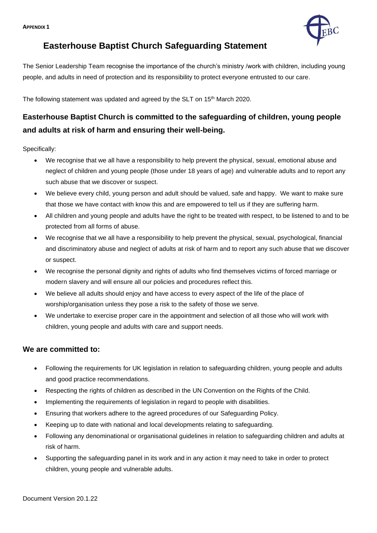

## **Easterhouse Baptist Church Safeguarding Statement**

The Senior Leadership Team recognise the importance of the church's ministry /work with children, including young people, and adults in need of protection and its responsibility to protect everyone entrusted to our care.

The following statement was updated and agreed by the SLT on 15<sup>th</sup> March 2020.

# **Easterhouse Baptist Church is committed to the safeguarding of children, young people and adults at risk of harm and ensuring their well-being.**

Specifically:

- We recognise that we all have a responsibility to help prevent the physical, sexual, emotional abuse and neglect of children and young people (those under 18 years of age) and vulnerable adults and to report any such abuse that we discover or suspect.
- We believe every child, young person and adult should be valued, safe and happy. We want to make sure that those we have contact with know this and are empowered to tell us if they are suffering harm.
- All children and young people and adults have the right to be treated with respect, to be listened to and to be protected from all forms of abuse.
- We recognise that we all have a responsibility to help prevent the physical, sexual, psychological, financial and discriminatory abuse and neglect of adults at risk of harm and to report any such abuse that we discover or suspect.
- We recognise the personal dignity and rights of adults who find themselves victims of forced marriage or modern slavery and will ensure all our policies and procedures reflect this.
- We believe all adults should enjoy and have access to every aspect of the life of the place of worship/organisation unless they pose a risk to the safety of those we serve.
- We undertake to exercise proper care in the appointment and selection of all those who will work with children, young people and adults with care and support needs.

## **We are committed to:**

- Following the requirements for UK legislation in relation to safeguarding children, young people and adults and good practice recommendations.
- Respecting the rights of children as described in the UN Convention on the Rights of the Child.
- Implementing the requirements of legislation in regard to people with disabilities.
- Ensuring that workers adhere to the agreed procedures of our Safeguarding Policy.
- Keeping up to date with national and local developments relating to safeguarding.
- Following any denominational or organisational guidelines in relation to safeguarding children and adults at risk of harm.
- Supporting the safeguarding panel in its work and in any action it may need to take in order to protect children, young people and vulnerable adults.